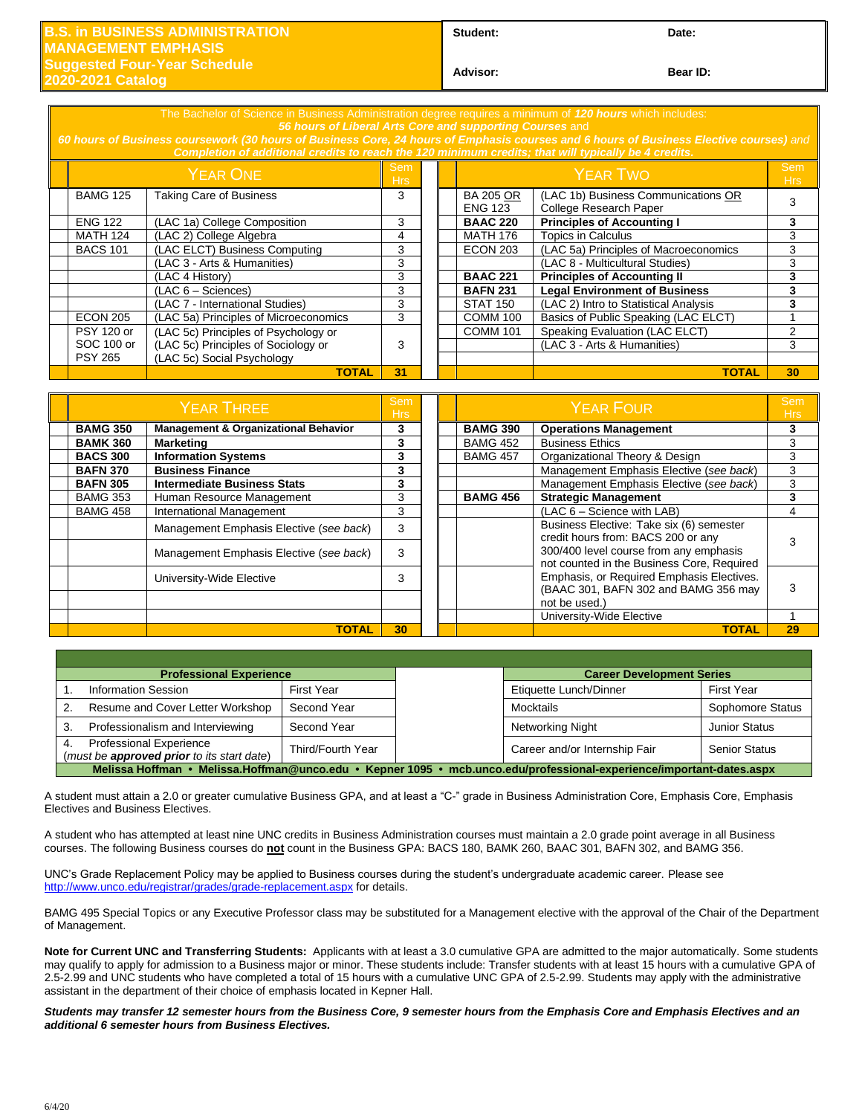## **in BUSINESS ADMINISTRATION MANAGEMENT EMPHASIS Suggested Four-Year Schedule**

Student: Date:

**2020-2021 Catalog** 

**Advisor: Bear ID:** 

*56 hours of Liberal Arts Core and supporting Courses* and *60 hours of Business coursework (30 hours of Business Core, 24 hours of Emphasis courses and 6 hours of Business Elective courses) and Completion of additional credits to reach the 120 minimum credits; that will typically be 4 credits.*  $Y$ EAR ONE  $\begin{array}{|c|c|c|}\n\hline\n\text{Sem} & \text{Sem} \\
\text{Hra} & \text{Hra}\n\end{array}$ em and the semi-control of the Semi-control of the Semi-control of the Semi-control of the Semi-control of the<br>Hrs Semi-control of the Semi-control of the Semi-control of the Semi-control of the Semi-control of the Semi-c Hrs BAMG 125 Taking Care of Business 3 8 BA 205 OR ENG 123 (LAC 1b) Business Communications OR (LAC TD) Business Communications <u>OR</u><br>College Research Paper ENG 122 (LAC 1a) College Composition 3 **BAAC 220 Principles of Accounting I 3** MATH 124 (LAC 2) College Algebra 1988 1998 1998 1999 10 MATH 176 Topics in Calculus 1998 101 (LAC 2) College Algebra 1999 10 MATH 176 Topics in Calculus 1999 10 MATH 176 100 Macroeconomics 1999 10 MATH 176 100 Macroeconomi (LAC ELCT) Business Computing 3 ECON 203 (LAC 5a) Principles of Macroeconomics 3 (LAC 3 - Arts & Humanities) 3 (LAC 8 - Multicultural Studies) 3 (LAC 4 History) 3 **BAAC 221 Principles of Accounting II 3** (LAC 6 – Sciences) 3 **BAFN 231 Legal Environment of Business 3** (LAC 7 - International Studies) 3 STAT 150 (LAC 2) Intro to Statistical Analysis 3<br>(LAC 5a) Principles of Microeconomics 3 COMM 100 Basics of Public Speaking (LAC ELCT) 1 ECON 205 | (LAC 5a) Principles of Microeconomics | 3 | COMM 100 | Basics of Public Speaking (LAC ELCT) | 1 PSY 120 or SOC 100 or PSY 265 (LAC 5c) Principles of Psychology or (LAC 5c) Principles of Sociology or (LAC 5c) Social Psychology 3 COMM 101 | Speaking Evaluation (LAC ELCT) | 2 (LAC 3 - Arts & Humanities) 3 **TOTAL 31 TOTAL 30**

| <b>YEAR THREE</b> |                                                 |    |  |                 | Sem<br><b>Hrs</b>                                                                    |    |
|-------------------|-------------------------------------------------|----|--|-----------------|--------------------------------------------------------------------------------------|----|
| <b>BAMG 350</b>   | <b>Management &amp; Organizational Behavior</b> | 3  |  | <b>BAMG 390</b> | <b>Operations Management</b>                                                         |    |
| <b>BAMK 360</b>   | <b>Marketing</b>                                | 3  |  | <b>BAMG 452</b> | <b>Business Ethics</b>                                                               | 3  |
| <b>BACS 300</b>   | <b>Information Systems</b>                      | 3  |  | <b>BAMG 457</b> | Organizational Theory & Design                                                       | 3  |
| <b>BAFN 370</b>   | <b>Business Finance</b>                         | 3  |  |                 | Management Emphasis Elective (see back)                                              | 3  |
| <b>BAFN 305</b>   | <b>Intermediate Business Stats</b>              | 3  |  |                 | Management Emphasis Elective (see back)                                              | 3  |
| <b>BAMG 353</b>   | Human Resource Management                       | 3  |  | <b>BAMG 456</b> | <b>Strategic Management</b>                                                          |    |
| <b>BAMG 458</b>   | International Management                        | 3  |  |                 | (LAC 6 - Science with LAB)                                                           | 4  |
|                   | Management Emphasis Elective (see back)         | 3  |  |                 | Business Elective: Take six (6) semester<br>credit hours from: BACS 200 or any       |    |
|                   | Management Emphasis Elective (see back)         | 3  |  |                 | 300/400 level course from any emphasis<br>not counted in the Business Core, Required |    |
|                   | University-Wide Elective                        | 3  |  |                 | Emphasis, or Required Emphasis Electives.<br>(BAAC 301, BAFN 302 and BAMG 356 may    | 3  |
|                   |                                                 |    |  |                 | not be used.)                                                                        |    |
|                   |                                                 |    |  |                 | University-Wide Elective                                                             |    |
|                   | <b>TOTAL</b>                                    | 30 |  |                 | <b>TOTAL</b>                                                                         | 29 |

| <b>Professional Experience</b>                                                                                       |                   |  | <b>Career Development Series</b> |                      |  |  |  |  |
|----------------------------------------------------------------------------------------------------------------------|-------------------|--|----------------------------------|----------------------|--|--|--|--|
| <b>Information Session</b>                                                                                           | First Year        |  | Etiquette Lunch/Dinner           | First Year           |  |  |  |  |
| Resume and Cover Letter Workshop                                                                                     | Second Year       |  | Mocktails                        | Sophomore Status     |  |  |  |  |
| Professionalism and Interviewing                                                                                     | Second Year       |  | Networking Night                 | <b>Junior Status</b> |  |  |  |  |
| <b>Professional Experience</b><br>(must be approved prior to its start date)                                         | Third/Fourth Year |  | Career and/or Internship Fair    | <b>Senior Status</b> |  |  |  |  |
| Melissa Hoffman • Melissa.Hoffman@unco.edu • Kepner 1095 • mcb.unco.edu/professional-experience/important-dates.aspx |                   |  |                                  |                      |  |  |  |  |

A student must attain a 2.0 or greater cumulative Business GPA, and at least a "C-" grade in Business Administration Core, Emphasis Core, Emphasis Electives and Business Electives.

A student who has attempted at least nine UNC credits in Business Administration courses must maintain a 2.0 grade point average in all Business courses. The following Business courses do **not** count in the Business GPA: BACS 180, BAMK 260, BAAC 301, BAFN 302, and BAMG 356.

UNC's Grade Replacement Policy may be applied to Business courses during the student's undergraduate academic career. Please see <http://www.unco.edu/registrar/grades/grade-replacement.aspx> for details.

BAMG 495 Special Topics or any Executive Professor class may be substituted for a Management elective with the approval of the Chair of the Department of Management.

**Note for Current UNC and Transferring Students:** Applicants with at least a 3.0 cumulative GPA are admitted to the major automatically. Some students may qualify to apply for admission to a Business major or minor. These students include: Transfer students with at least 15 hours with a cumulative GPA of 2.5-2.99 and UNC students who have completed a total of 15 hours with a cumulative UNC GPA of 2.5-2.99. Students may apply with the administrative assistant in the department of their choice of emphasis located in Kepner Hall.

*Students may transfer 12 semester hours from the Business Core, 9 semester hours from the Emphasis Core and Emphasis Electives and an additional 6 semester hours from Business Electives.*